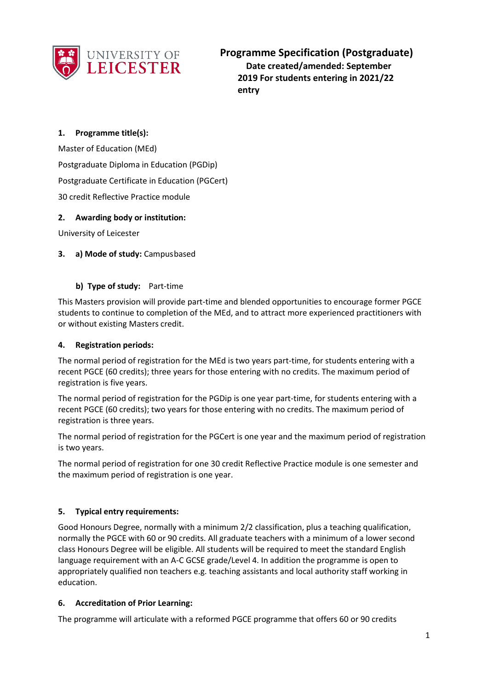

**Programme Specification (Postgraduate) Date created/amended: September 2019 For students entering in 2021/22 entry**

## **1. Programme title(s):**

Master of Education (MEd) Postgraduate Diploma in Education (PGDip) Postgraduate Certificate in Education (PGCert) 30 credit Reflective Practice module

### **2. Awarding body or institution:**

University of Leicester

### **3. a) Mode of study:** Campusbased

#### **b) Type of study:** Part-time

This Masters provision will provide part-time and blended opportunities to encourage former PGCE students to continue to completion of the MEd, and to attract more experienced practitioners with or without existing Masters credit.

#### **4. Registration periods:**

The normal period of registration for the MEd is two years part-time, for students entering with a recent PGCE (60 credits); three years for those entering with no credits. The maximum period of registration is five years.

The normal period of registration for the PGDip is one year part-time, for students entering with a recent PGCE (60 credits); two years for those entering with no credits. The maximum period of registration is three years.

The normal period of registration for the PGCert is one year and the maximum period of registration is two years.

The normal period of registration for one 30 credit Reflective Practice module is one semester and the maximum period of registration is one year.

### **5. Typical entry requirements:**

Good Honours Degree, normally with a minimum 2/2 classification, plus a teaching qualification, normally the PGCE with 60 or 90 credits. All graduate teachers with a minimum of a lower second class Honours Degree will be eligible. All students will be required to meet the standard English language requirement with an A-C GCSE grade/Level 4. In addition the programme is open to appropriately qualified non teachers e.g. teaching assistants and local authority staff working in education.

#### **6. Accreditation of Prior Learning:**

The programme will articulate with a reformed PGCE programme that offers 60 or 90 credits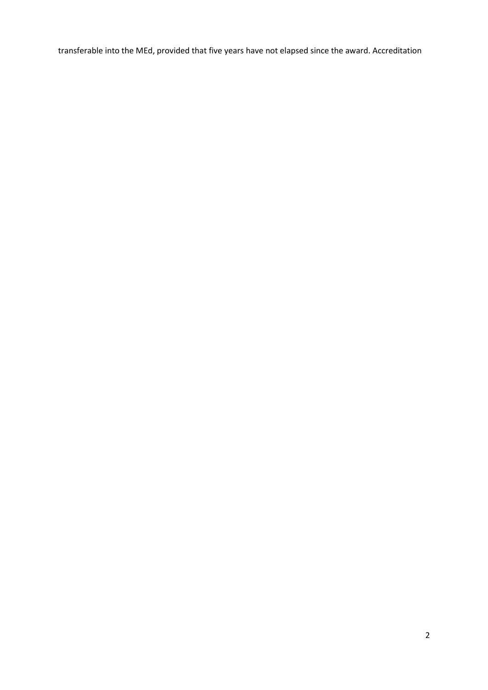transferable into the MEd, provided that five years have not elapsed since the award. Accreditation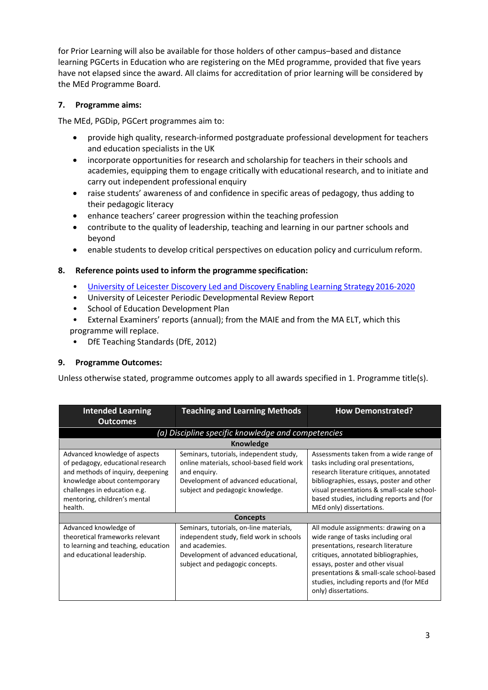for Prior Learning will also be available for those holders of other campus–based and distance learning PGCerts in Education who are registering on the MEd programme, provided that five years have not elapsed since the award. All claims for accreditation of prior learning will be considered by the MEd Programme Board.

### **7. Programme aims:**

The MEd, PGDip, PGCert programmes aim to:

- provide high quality, research-informed postgraduate professional development for teachers and education specialists in the UK
- incorporate opportunities for research and scholarship for teachers in their schools and academies, equipping them to engage critically with educational research, and to initiate and carry out independent professional enquiry
- raise students' awareness of and confidence in specific areas of pedagogy, thus adding to their pedagogic literacy
- enhance teachers' career progression within the teaching profession
- contribute to the quality of leadership, teaching and learning in our partner schools and beyond
- enable students to develop critical perspectives on education policy and curriculum reform.

## **8. Reference points used to inform the programme specification:**

- [University of Leicester Discovery Led and Discovery Enabling Learning Strategy](http://www2.le.ac.uk/offices/sas2/quality/learnteach) 2016-2020
- University of Leicester Periodic Developmental Review Report
- School of Education Development Plan
- External Examiners' reports (annual); from the MAIE and from the MA ELT, which this programme will replace.
- DfE Teaching Standards (DfE, 2012)

### **9. Programme Outcomes:**

Unless otherwise stated, programme outcomes apply to all awards specified in 1. Programme title(s).

| <b>Intended Learning</b><br><b>Outcomes</b>                                                                                                                                                                        | <b>Teaching and Learning Methods</b>                                                                                                                                             | <b>How Demonstrated?</b>                                                                                                                                                                                                                                                                                   |  |
|--------------------------------------------------------------------------------------------------------------------------------------------------------------------------------------------------------------------|----------------------------------------------------------------------------------------------------------------------------------------------------------------------------------|------------------------------------------------------------------------------------------------------------------------------------------------------------------------------------------------------------------------------------------------------------------------------------------------------------|--|
| (a) Discipline specific knowledge and competencies                                                                                                                                                                 |                                                                                                                                                                                  |                                                                                                                                                                                                                                                                                                            |  |
|                                                                                                                                                                                                                    | Knowledge                                                                                                                                                                        |                                                                                                                                                                                                                                                                                                            |  |
| Advanced knowledge of aspects<br>of pedagogy, educational research<br>and methods of inquiry, deepening<br>knowledge about contemporary<br>challenges in education e.g.<br>mentoring, children's mental<br>health. | Seminars, tutorials, independent study,<br>online materials, school-based field work<br>and enguiry.<br>Development of advanced educational,<br>subject and pedagogic knowledge. | Assessments taken from a wide range of<br>tasks including oral presentations,<br>research literature critiques, annotated<br>bibliographies, essays, poster and other<br>visual presentations & small-scale school-<br>based studies, including reports and (for<br>MEd only) dissertations.               |  |
|                                                                                                                                                                                                                    | <b>Concepts</b>                                                                                                                                                                  |                                                                                                                                                                                                                                                                                                            |  |
| Advanced knowledge of<br>theoretical frameworks relevant<br>to learning and teaching, education<br>and educational leadership.                                                                                     | Seminars, tutorials, on-line materials,<br>independent study, field work in schools<br>and academies.<br>Development of advanced educational,<br>subject and pedagogic concepts. | All module assignments: drawing on a<br>wide range of tasks including oral<br>presentations, research literature<br>critiques, annotated bibliographies,<br>essays, poster and other visual<br>presentations & small-scale school-based<br>studies, including reports and (for MEd<br>only) dissertations. |  |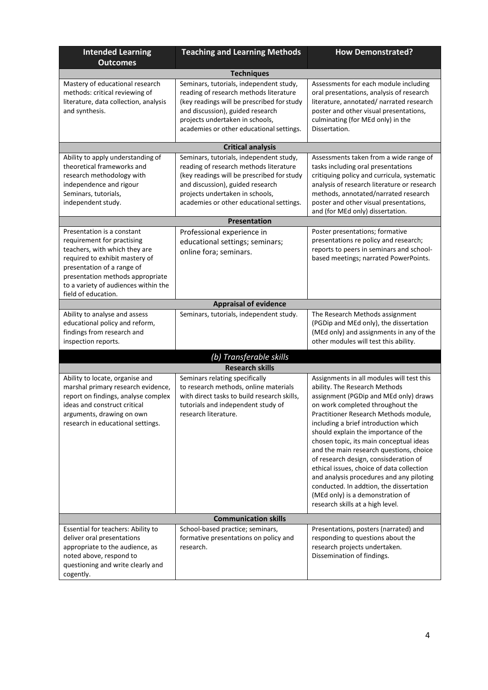| <b>Intended Learning</b><br><b>Outcomes</b>                                                                                                                                                                                                                  | <b>Teaching and Learning Methods</b>                                                                                                                                                                                                               | <b>How Demonstrated?</b>                                                                                                                                                                                                                                                                                                                                                                                                                                                                                                                                                                                                    |  |  |
|--------------------------------------------------------------------------------------------------------------------------------------------------------------------------------------------------------------------------------------------------------------|----------------------------------------------------------------------------------------------------------------------------------------------------------------------------------------------------------------------------------------------------|-----------------------------------------------------------------------------------------------------------------------------------------------------------------------------------------------------------------------------------------------------------------------------------------------------------------------------------------------------------------------------------------------------------------------------------------------------------------------------------------------------------------------------------------------------------------------------------------------------------------------------|--|--|
| <b>Techniques</b>                                                                                                                                                                                                                                            |                                                                                                                                                                                                                                                    |                                                                                                                                                                                                                                                                                                                                                                                                                                                                                                                                                                                                                             |  |  |
| Mastery of educational research<br>methods: critical reviewing of<br>literature, data collection, analysis<br>and synthesis.                                                                                                                                 | Seminars, tutorials, independent study,<br>reading of research methods literature<br>(key readings will be prescribed for study<br>and discussion), guided research<br>projects undertaken in schools,<br>academies or other educational settings. | Assessments for each module including<br>oral presentations, analysis of research<br>literature, annotated/ narrated research<br>poster and other visual presentations,<br>culminating (for MEd only) in the<br>Dissertation.                                                                                                                                                                                                                                                                                                                                                                                               |  |  |
|                                                                                                                                                                                                                                                              | <b>Critical analysis</b>                                                                                                                                                                                                                           |                                                                                                                                                                                                                                                                                                                                                                                                                                                                                                                                                                                                                             |  |  |
| Ability to apply understanding of<br>theoretical frameworks and<br>research methodology with<br>independence and rigour<br>Seminars, tutorials,<br>independent study.                                                                                        | Seminars, tutorials, independent study,<br>reading of research methods literature<br>(key readings will be prescribed for study<br>and discussion), guided research<br>projects undertaken in schools,<br>academies or other educational settings. | Assessments taken from a wide range of<br>tasks including oral presentations<br>critiquing policy and curricula, systematic<br>analysis of research literature or research<br>methods, annotated/narrated research<br>poster and other visual presentations,<br>and (for MEd only) dissertation.                                                                                                                                                                                                                                                                                                                            |  |  |
|                                                                                                                                                                                                                                                              | <b>Presentation</b>                                                                                                                                                                                                                                |                                                                                                                                                                                                                                                                                                                                                                                                                                                                                                                                                                                                                             |  |  |
| Presentation is a constant<br>requirement for practising<br>teachers, with which they are<br>required to exhibit mastery of<br>presentation of a range of<br>presentation methods appropriate<br>to a variety of audiences within the<br>field of education. | Professional experience in<br>educational settings; seminars;<br>online fora; seminars.                                                                                                                                                            | Poster presentations; formative<br>presentations re policy and research;<br>reports to peers in seminars and school-<br>based meetings; narrated PowerPoints.                                                                                                                                                                                                                                                                                                                                                                                                                                                               |  |  |
|                                                                                                                                                                                                                                                              | <b>Appraisal of evidence</b>                                                                                                                                                                                                                       |                                                                                                                                                                                                                                                                                                                                                                                                                                                                                                                                                                                                                             |  |  |
| Ability to analyse and assess<br>educational policy and reform,<br>findings from research and<br>inspection reports.                                                                                                                                         | Seminars, tutorials, independent study.                                                                                                                                                                                                            | The Research Methods assignment<br>(PGDip and MEd only), the dissertation<br>(MEd only) and assignments in any of the<br>other modules will test this ability.                                                                                                                                                                                                                                                                                                                                                                                                                                                              |  |  |
|                                                                                                                                                                                                                                                              | (b) Transferable skills                                                                                                                                                                                                                            |                                                                                                                                                                                                                                                                                                                                                                                                                                                                                                                                                                                                                             |  |  |
|                                                                                                                                                                                                                                                              | <b>Research skills</b>                                                                                                                                                                                                                             |                                                                                                                                                                                                                                                                                                                                                                                                                                                                                                                                                                                                                             |  |  |
| Ability to locate, organise and<br>marshal primary research evidence,<br>report on findings, analyse complex<br>ideas and construct critical<br>arguments, drawing on own<br>research in educational settings.                                               | Seminars relating specifically<br>to research methods, online materials<br>with direct tasks to build research skills,<br>tutorials and independent study of<br>research literature.                                                               | Assignments in all modules will test this<br>ability. The Research Methods<br>assignment (PGDip and MEd only) draws<br>on work completed throughout the<br>Practitioner Research Methods module,<br>including a brief introduction which<br>should explain the importance of the<br>chosen topic, its main conceptual ideas<br>and the main research questions, choice<br>of research design, consisderation of<br>ethical issues, choice of data collection<br>and analysis procedures and any piloting<br>conducted. In addtion, the dissertation<br>(MEd only) is a demonstration of<br>research skills at a high level. |  |  |
| <b>Communication skills</b>                                                                                                                                                                                                                                  |                                                                                                                                                                                                                                                    |                                                                                                                                                                                                                                                                                                                                                                                                                                                                                                                                                                                                                             |  |  |
| Essential for teachers: Ability to<br>deliver oral presentations<br>appropriate to the audience, as<br>noted above, respond to<br>questioning and write clearly and<br>cogently.                                                                             | School-based practice; seminars,<br>formative presentations on policy and<br>research.                                                                                                                                                             | Presentations, posters (narrated) and<br>responding to questions about the<br>research projects undertaken.<br>Dissemination of findings.                                                                                                                                                                                                                                                                                                                                                                                                                                                                                   |  |  |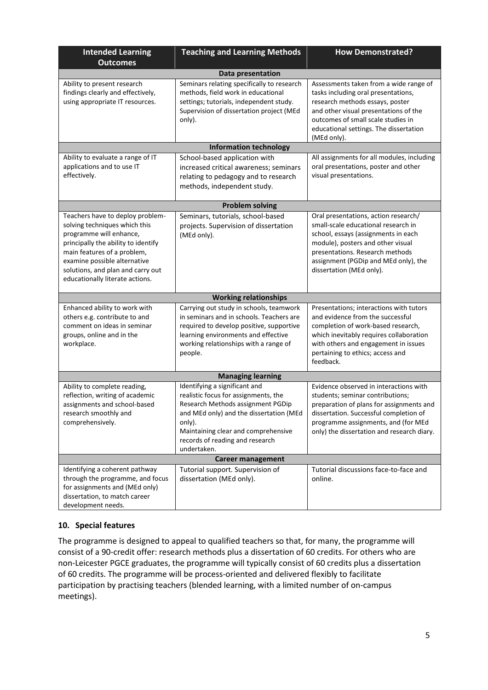| <b>Intended Learning</b><br><b>Outcomes</b>                                                                                                                                                                                                                                | <b>Teaching and Learning Methods</b>                                                                                                                                                                                                                     | <b>How Demonstrated?</b>                                                                                                                                                                                                                                       |  |  |
|----------------------------------------------------------------------------------------------------------------------------------------------------------------------------------------------------------------------------------------------------------------------------|----------------------------------------------------------------------------------------------------------------------------------------------------------------------------------------------------------------------------------------------------------|----------------------------------------------------------------------------------------------------------------------------------------------------------------------------------------------------------------------------------------------------------------|--|--|
| Data presentation                                                                                                                                                                                                                                                          |                                                                                                                                                                                                                                                          |                                                                                                                                                                                                                                                                |  |  |
| Ability to present research<br>findings clearly and effectively,<br>using appropriate IT resources.                                                                                                                                                                        | Seminars relating specifically to research<br>methods, field work in educational<br>settings; tutorials, independent study.<br>Supervision of dissertation project (MEd<br>only).                                                                        | Assessments taken from a wide range of<br>tasks including oral presentations,<br>research methods essays, poster<br>and other visual presentations of the<br>outcomes of small scale studies in<br>educational settings. The dissertation<br>(MEd only).       |  |  |
|                                                                                                                                                                                                                                                                            | <b>Information technology</b>                                                                                                                                                                                                                            |                                                                                                                                                                                                                                                                |  |  |
| Ability to evaluate a range of IT<br>applications and to use IT<br>effectively.                                                                                                                                                                                            | School-based application with<br>increased critical awareness; seminars<br>relating to pedagogy and to research<br>methods, independent study.                                                                                                           | All assignments for all modules, including<br>oral presentations, poster and other<br>visual presentations.                                                                                                                                                    |  |  |
|                                                                                                                                                                                                                                                                            | <b>Problem solving</b>                                                                                                                                                                                                                                   |                                                                                                                                                                                                                                                                |  |  |
| Teachers have to deploy problem-<br>solving techniques which this<br>programme will enhance,<br>principally the ability to identify<br>main features of a problem,<br>examine possible alternative<br>solutions, and plan and carry out<br>educationally literate actions. | Seminars, tutorials, school-based<br>projects. Supervision of dissertation<br>(MEd only).                                                                                                                                                                | Oral presentations, action research/<br>small-scale educational research in<br>school, essays (assignments in each<br>module), posters and other visual<br>presentations. Research methods<br>assignment (PGDip and MEd only), the<br>dissertation (MEd only). |  |  |
|                                                                                                                                                                                                                                                                            | <b>Working relationships</b>                                                                                                                                                                                                                             |                                                                                                                                                                                                                                                                |  |  |
| Enhanced ability to work with<br>others e.g. contribute to and<br>comment on ideas in seminar<br>groups, online and in the<br>workplace.                                                                                                                                   | Carrying out study in schools, teamwork<br>in seminars and in schools. Teachers are<br>required to develop positive, supportive<br>learning environments and effective<br>working relationships with a range of<br>people.                               | Presentations; interactions with tutors<br>and evidence from the successful<br>completion of work-based research,<br>which inevitably requires collaboration<br>with others and engagement in issues<br>pertaining to ethics; access and<br>feedback.          |  |  |
|                                                                                                                                                                                                                                                                            | <b>Managing learning</b>                                                                                                                                                                                                                                 |                                                                                                                                                                                                                                                                |  |  |
| Ability to complete reading,<br>reflection, writing of academic<br>assignments and school-based<br>research smoothly and<br>comprehensively.                                                                                                                               | Identifying a significant and<br>realistic focus for assignments, the<br>Research Methods assignment PGDip<br>and MEd only) and the dissertation (MEd<br>only).<br>Maintaining clear and comprehensive<br>records of reading and research<br>undertaken. | Evidence observed in interactions with<br>students; seminar contributions;<br>preparation of plans for assignments and<br>dissertation. Successful completion of<br>programme assignments, and (for MEd<br>only) the dissertation and research diary.          |  |  |
|                                                                                                                                                                                                                                                                            | <b>Career management</b>                                                                                                                                                                                                                                 |                                                                                                                                                                                                                                                                |  |  |
| Identifying a coherent pathway<br>through the programme, and focus<br>for assignments and (MEd only)<br>dissertation, to match career<br>development needs.                                                                                                                | Tutorial support. Supervision of<br>dissertation (MEd only).                                                                                                                                                                                             | Tutorial discussions face-to-face and<br>online.                                                                                                                                                                                                               |  |  |

### **10. Special features**

The programme is designed to appeal to qualified teachers so that, for many, the programme will consist of a 90-credit offer: research methods plus a dissertation of 60 credits. For others who are non-Leicester PGCE graduates, the programme will typically consist of 60 credits plus a dissertation of 60 credits. The programme will be process-oriented and delivered flexibly to facilitate participation by practising teachers (blended learning, with a limited number of on-campus meetings).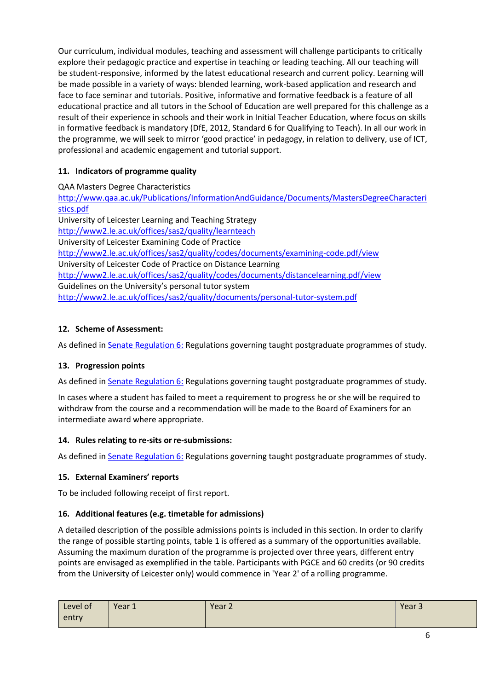Our curriculum, individual modules, teaching and assessment will challenge participants to critically explore their pedagogic practice and expertise in teaching or leading teaching. All our teaching will be student-responsive, informed by the latest educational research and current policy. Learning will be made possible in a variety of ways: blended learning, work-based application and research and face to face seminar and tutorials. Positive, informative and formative feedback is a feature of all educational practice and all tutors in the School of Education are well prepared for this challenge as a result of their experience in schools and their work in Initial Teacher Education, where focus on skills in formative feedback is mandatory (DfE, 2012, Standard 6 for Qualifying to Teach). In all our work in the programme, we will seek to mirror 'good practice' in pedagogy, in relation to delivery, use of ICT, professional and academic engagement and tutorial support.

# **11. Indicators of programme quality**

QAA Masters Degree Characteristics

[http://www.qaa.ac.uk/Publications/InformationAndGuidance/Documents/MastersDegreeCharacteri](http://www.qaa.ac.uk/Publications/InformationAndGuidance/Documents/MastersDegreeCharacteristics.pdf) [stics.pdf](http://www.qaa.ac.uk/Publications/InformationAndGuidance/Documents/MastersDegreeCharacteristics.pdf) University of Leicester Learning and Teaching Strategy <http://www2.le.ac.uk/offices/sas2/quality/learnteach> University of Leicester Examining Code of Practice <http://www2.le.ac.uk/offices/sas2/quality/codes/documents/examining-code.pdf/view> University of Leicester Code of Practice on Distance Learning <http://www2.le.ac.uk/offices/sas2/quality/codes/documents/distancelearning.pdf/view> Guidelines on the University's personal tutor system <http://www2.le.ac.uk/offices/sas2/quality/documents/personal-tutor-system.pdf>

# **12. Scheme of Assessment:**

As defined i[n Senate Regulation 6:](http://www.le.ac.uk/senate-regulation6) Regulations governing taught postgraduate programmes of study.

# **13. Progression points**

As defined i[n Senate Regulation 6:](http://www.le.ac.uk/senate-regulation6) Regulations governing taught postgraduate programmes of study.

In cases where a student has failed to meet a requirement to progress he or she will be required to withdraw from the course and a recommendation will be made to the Board of Examiners for an intermediate award where appropriate.

### **14. Rules relating to re-sits orre-submissions:**

As defined in **Senate Regulation 6:** Regulations governing taught postgraduate programmes of study.

# **15. External Examiners' reports**

To be included following receipt of first report.

### **16. Additional features (e.g. timetable for admissions)**

A detailed description of the possible admissions points is included in this section. In order to clarify the range of possible starting points, table 1 is offered as a summary of the opportunities available. Assuming the maximum duration of the programme is projected over three years, different entry points are envisaged as exemplified in the table. Participants with PGCE and 60 credits (or 90 credits from the University of Leicester only) would commence in 'Year 2' of a rolling programme.

| $\overline{\phantom{a}}$<br>Level of | Year 1 | Year 2 | Year 3 |
|--------------------------------------|--------|--------|--------|
| entry                                |        |        |        |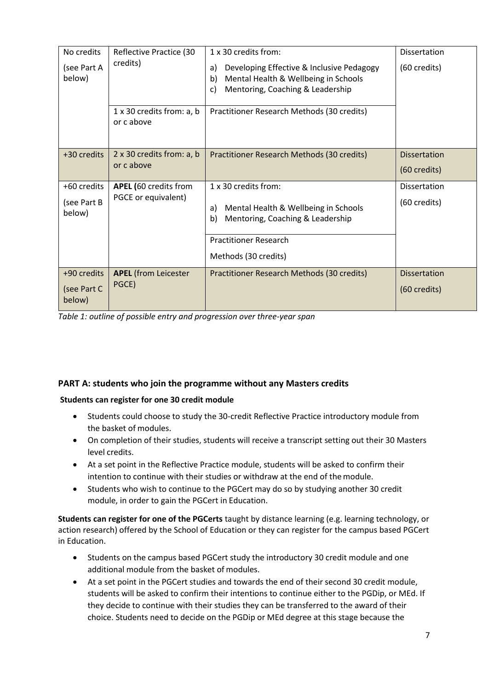| No credits            | Reflective Practice (30<br>credits)     | 1 x 30 credits from:                                                                          | Dissertation        |
|-----------------------|-----------------------------------------|-----------------------------------------------------------------------------------------------|---------------------|
| (see Part A<br>below) |                                         | Developing Effective & Inclusive Pedagogy<br>a)<br>Mental Health & Wellbeing in Schools<br>b) | (60 credits)        |
|                       |                                         | Mentoring, Coaching & Leadership<br>c)                                                        |                     |
|                       | 1 x 30 credits from: a, b<br>or c above | Practitioner Research Methods (30 credits)                                                    |                     |
| +30 credits           | 2 x 30 credits from: a, b               | Practitioner Research Methods (30 credits)                                                    | <b>Dissertation</b> |
|                       | or c above                              |                                                                                               | (60 credits)        |
| +60 credits           | <b>APEL (60 credits from</b>            | 1 x 30 credits from:                                                                          | <b>Dissertation</b> |
| (see Part B<br>below) | PGCE or equivalent)                     | Mental Health & Wellbeing in Schools<br>a)<br>Mentoring, Coaching & Leadership<br>b)          | (60 credits)        |
|                       |                                         | <b>Practitioner Research</b>                                                                  |                     |
|                       |                                         | Methods (30 credits)                                                                          |                     |
| +90 credits           | <b>APEL</b> (from Leicester             | Practitioner Research Methods (30 credits)                                                    | <b>Dissertation</b> |
| (see Part C<br>below) | PGCE)                                   |                                                                                               | (60 credits)        |

*Table 1: outline of possible entry and progression over three-year span*

# **PART A: students who join the programme without any Masters credits**

### **Students can register for one 30 credit module**

- Students could choose to study the 30-credit Reflective Practice introductory module from the basket of modules.
- On completion of their studies, students will receive a transcript setting out their 30 Masters level credits.
- At a set point in the Reflective Practice module, students will be asked to confirm their intention to continue with their studies or withdraw at the end of themodule.
- Students who wish to continue to the PGCert may do so by studying another 30 credit module, in order to gain the PGCert in Education.

**Students can register for one of the PGCerts** taught by distance learning (e.g. learning technology, or action research) offered by the School of Education or they can register for the campus based PGCert in Education.

- Students on the campus based PGCert study the introductory 30 credit module and one additional module from the basket of modules.
- At a set point in the PGCert studies and towards the end of their second 30 credit module, students will be asked to confirm their intentions to continue either to the PGDip, or MEd. If they decide to continue with their studies they can be transferred to the award of their choice. Students need to decide on the PGDip or MEd degree at this stage because the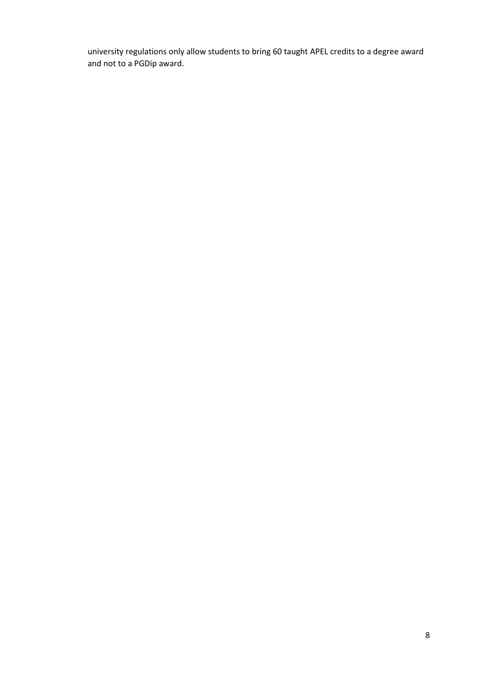university regulations only allow students to bring 60 taught APEL credits to a degree award and not to a PGDip award.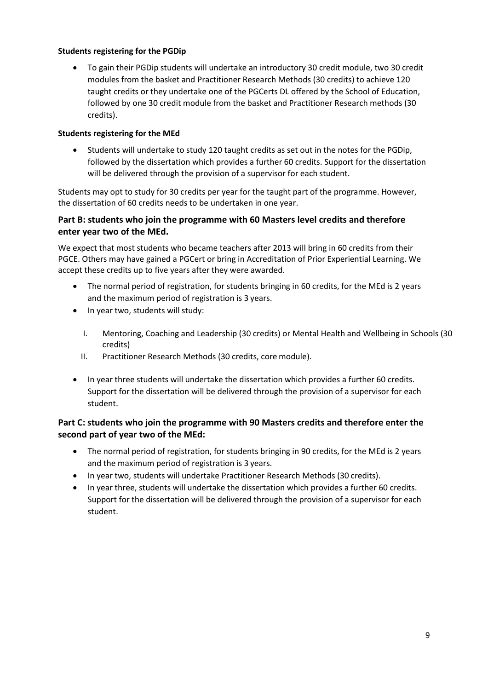#### **Students registering for the PGDip**

 To gain their PGDip students will undertake an introductory 30 credit module, two 30 credit modules from the basket and Practitioner Research Methods (30 credits) to achieve 120 taught credits or they undertake one of the PGCerts DL offered by the School of Education, followed by one 30 credit module from the basket and Practitioner Research methods (30 credits).

#### **Students registering for the MEd**

 Students will undertake to study 120 taught credits as set out in the notes for the PGDip, followed by the dissertation which provides a further 60 credits. Support for the dissertation will be delivered through the provision of a supervisor for each student.

Students may opt to study for 30 credits per year for the taught part of the programme. However, the dissertation of 60 credits needs to be undertaken in one year.

### **Part B: students who join the programme with 60 Masters level credits and therefore enter year two of the MEd.**

We expect that most students who became teachers after 2013 will bring in 60 credits from their PGCE. Others may have gained a PGCert or bring in Accreditation of Prior Experiential Learning. We accept these credits up to five years after they were awarded.

- The normal period of registration, for students bringing in 60 credits, for the MEd is 2 years and the maximum period of registration is 3 years.
- In year two, students will study:
	- I. Mentoring, Coaching and Leadership (30 credits) or Mental Health and Wellbeing in Schools (30 credits)
	- II. Practitioner Research Methods (30 credits, core module).
- In year three students will undertake the dissertation which provides a further 60 credits. Support for the dissertation will be delivered through the provision of a supervisor for each student.

## **Part C: students who join the programme with 90 Masters credits and therefore enter the second part of year two of the MEd:**

- The normal period of registration, for students bringing in 90 credits, for the MEd is 2 years and the maximum period of registration is 3 years.
- In year two, students will undertake Practitioner Research Methods (30 credits).
- In year three, students will undertake the dissertation which provides a further 60 credits. Support for the dissertation will be delivered through the provision of a supervisor for each student.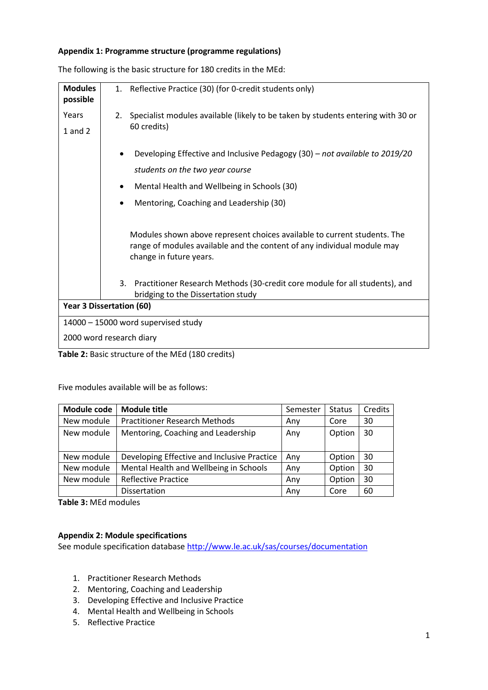#### **Appendix 1: Programme structure (programme regulations)**

| <b>Modules</b><br>possible      | 1.        | Reflective Practice (30) (for 0-credit students only)                                                                                                                          |
|---------------------------------|-----------|--------------------------------------------------------------------------------------------------------------------------------------------------------------------------------|
| Years                           | 2.        | Specialist modules available (likely to be taken by students entering with 30 or                                                                                               |
| $1$ and $2$                     |           | 60 credits)                                                                                                                                                                    |
|                                 |           | Developing Effective and Inclusive Pedagogy (30) - not available to 2019/20                                                                                                    |
|                                 |           | students on the two year course                                                                                                                                                |
|                                 | ٠         | Mental Health and Wellbeing in Schools (30)                                                                                                                                    |
|                                 | $\bullet$ | Mentoring, Coaching and Leadership (30)                                                                                                                                        |
|                                 |           |                                                                                                                                                                                |
|                                 |           | Modules shown above represent choices available to current students. The<br>range of modules available and the content of any individual module may<br>change in future years. |
|                                 | 3.        | Practitioner Research Methods (30-credit core module for all students), and<br>bridging to the Dissertation study                                                              |
| <b>Year 3 Dissertation (60)</b> |           |                                                                                                                                                                                |
|                                 |           | 14000 - 15000 word supervised study                                                                                                                                            |
| 2000 word research diary        |           |                                                                                                                                                                                |
|                                 |           | Table 2: Basic structure of the MEd (180 credits)                                                                                                                              |

The following is the basic structure for 180 credits in the MEd:

Five modules available will be as follows:

| <b>Module code</b> | <b>Module title</b>                         | Semester | <b>Status</b> | Credits |
|--------------------|---------------------------------------------|----------|---------------|---------|
| New module         | <b>Practitioner Research Methods</b>        | Any      | Core          | 30      |
| New module         | Mentoring, Coaching and Leadership          | Any      | Option        | -30     |
| New module         | Developing Effective and Inclusive Practice | Any      | Option        | 30      |
| New module         | Mental Health and Wellbeing in Schools      | Any      | Option        | 30      |
| New module         | <b>Reflective Practice</b>                  | Any      | Option        | 30      |
|                    | Dissertation                                | Anv      | Core          | 60      |

**Table 3:** MEd modules

#### **Appendix 2: Module specifications**

See module specification database<http://www.le.ac.uk/sas/courses/documentation>

- 1. Practitioner Research Methods
- 2. Mentoring, Coaching and Leadership
- 3. Developing Effective and Inclusive Practice
- 4. Mental Health and Wellbeing in Schools
- 5. Reflective Practice